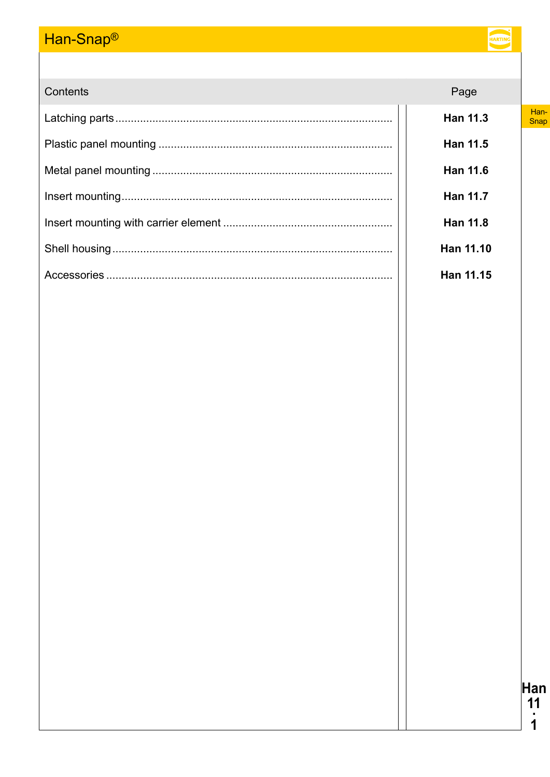# Han-Snap<sup>®</sup>

| Contents | Page            |              |
|----------|-----------------|--------------|
|          | <b>Han 11.3</b> | Han-<br>Snap |
|          | <b>Han 11.5</b> |              |
|          | <b>Han 11.6</b> |              |
|          | <b>Han 11.7</b> |              |
|          | <b>Han 11.8</b> |              |
|          | Han 11.10       |              |
|          | Han 11.15       |              |
|          |                 |              |
|          |                 |              |
|          |                 |              |
|          |                 |              |
|          |                 |              |
|          |                 |              |
|          |                 |              |
|          |                 |              |
|          |                 |              |
|          |                 |              |
|          |                 |              |
|          |                 |              |
|          |                 |              |
|          |                 |              |
|          |                 |              |
|          |                 |              |
|          |                 | Han          |
|          |                 | 11           |
|          |                 |              |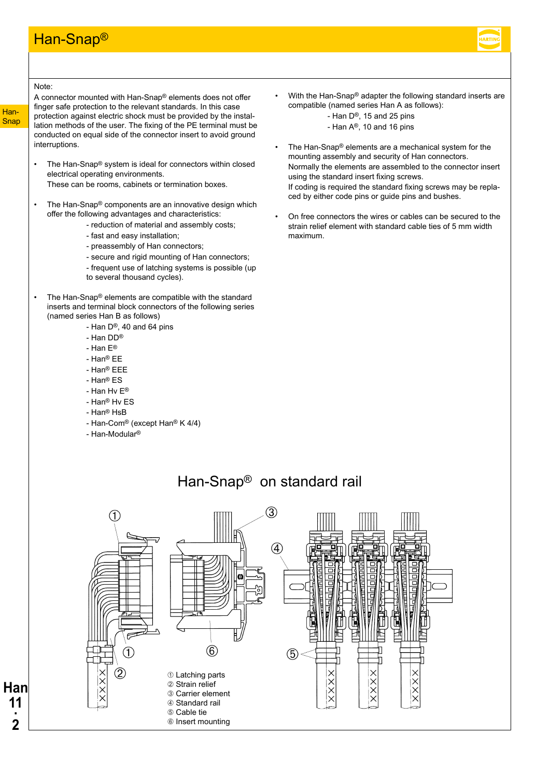### Han-Snap®



#### Note:

A connector mounted with Han-Snap® elements does not offer finger safe protection to the relevant standards. In this case protection against electric shock must be provided by the installation methods of the user. The fixing of the PE terminal must be conducted on equal side of the connector insert to avoid ground interruptions.

- The Han-Snap® system is ideal for connectors within closed electrical operating environments. These can be rooms, cabinets or termination boxes.
- The Han-Snap<sup>®</sup> components are an innovative design which offer the following advantages and characteristics:
	- reduction of material and assembly costs;
	- fast and easy installation;
	- preassembly of Han connectors;
	- secure and rigid mounting of Han connectors;
	- frequent use of latching systems is possible (up
	- to several thousand cycles).
- The Han-Snap® elements are compatible with the standard inserts and terminal block connectors of the following series (named series Han B as follows)
	- Han  $D^{\circledR}$ , 40 and 64 pins
	- Han DD®
	- Han E®
	- Han® EE
	- Han® EEE
	- Han® ES
	- Han Hv E®
	- Han® Hv ES
	- Han® HsB
	- Han-Com® (except Han® K 4/4)
	- Han-Modular®
- With the Han-Snap® adapter the following standard inserts are compatible (named series Han A as follows):
	- Han D®, 15 and 25 pins
	- Han A®, 10 and 16 pins
- The Han-Snap® elements are a mechanical system for the mounting assembly and security of Han connectors. Normally the elements are assembled to the connector insert using the standard insert fixing screws.

If coding is required the standard fixing screws may be replaced by either code pins or guide pins and bushes.

• On free connectors the wires or cables can be secured to the strain relief element with standard cable ties of 5 mm width maximum.

## Han-Snap® on standard rail



**Snap** 

Han-

**Han 11 · 2**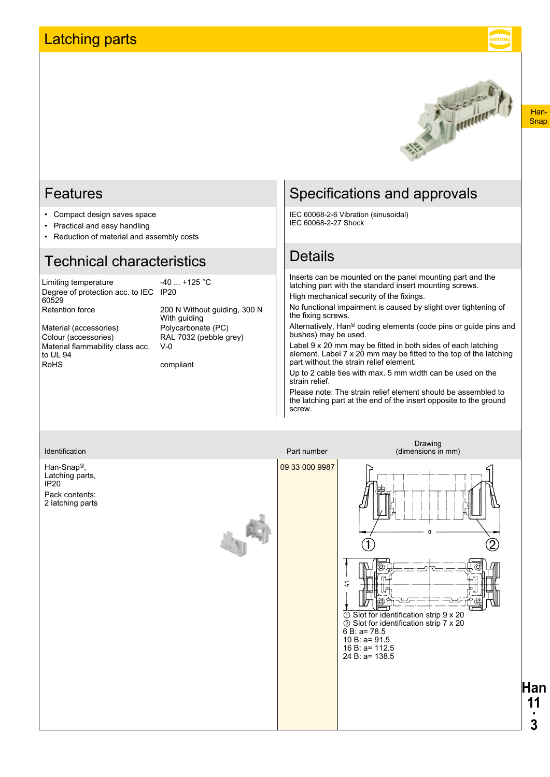## <span id="page-2-0"></span>Latching parts

Han-**Snap** 



### Features

- Compact design saves space
- Practical and easy handling
- Reduction of material and assembly costs

### Technical characteristics

Limiting temperature -40 ... +125 °C Degree of protection acc. to IEC IP20 60529 Retention force 200 N Without guiding, 300 N

Material (accessories) Polycarbonate (PC)<br>Colour (accessories) RAL 7032 (pebble g Material flammability class acc. to UL 94 RoHS compliant

With guiding RAL 7032 (pebble grey) V-0

## Specifications and approvals

IEC 60068-2-6 Vibration (sinusoidal) IEC 60068-2-27 Shock

### **Details**

Inserts can be mounted on the panel mounting part and the latching part with the standard insert mounting screws. High mechanical security of the fixings.

No functional impairment is caused by slight over tightening of the fixing screws.

Alternatively, Han® coding elements (code pins or guide pins and bushes) may be used.

Label 9 x 20 mm may be fitted in both sides of each latching element. Label 7 x 20 mm may be fitted to the top of the latching part without the strain relief element.

Up to 2 cable ties with max. 5 mm width can be used on the strain relief.

Please note: The strain relief element should be assembled to the latching part at the end of the insert opposite to the ground screw.

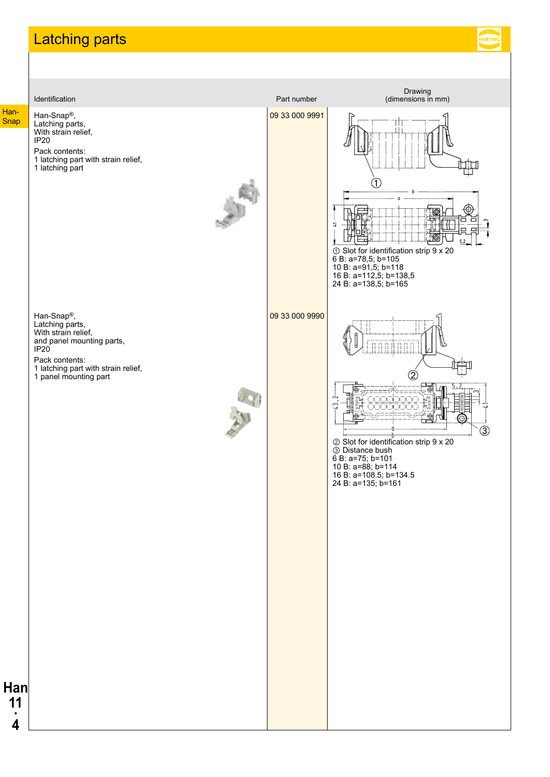## <span id="page-3-0"></span>Latching parts

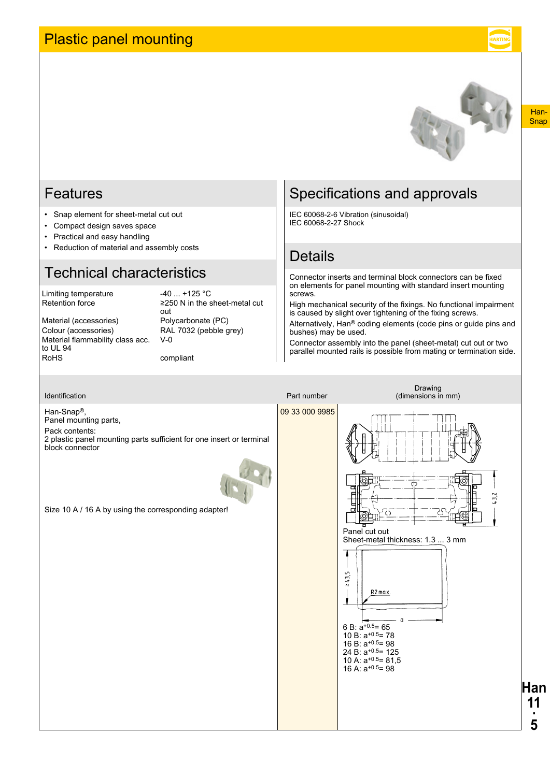## <span id="page-4-0"></span>Plastic panel mounting



#### Han-**Snap**

### Features

- Snap element for sheet-metal cut out
- Compact design saves space
- Practical and easy handling
- Reduction of material and assembly costs

## Technical characteristics

Limiting temperature  $-40$  ... +125 °C<br>Retention force  $\geq 250$  N in the s

≥250 N in the sheet-metal cut

Colour (accessories) RAL 7032 (pebble grey) Material flammability class acc. to UL 94<br>RoHS

out Material (accessories) Polycarbonate (PC)  $V-0$ 

compliant

## Specifications and approvals

IEC 60068-2-6 Vibration (sinusoidal) IEC 60068-2-27 Shock

### **Details**

Connector inserts and terminal block connectors can be fixed on elements for panel mounting with standard insert mounting screws.

High mechanical security of the fixings. No functional impairment is caused by slight over tightening of the fixing screws.

Alternatively, Han® coding elements (code pins or guide pins and bushes) may be used.

Connector assembly into the panel (sheet-metal) cut out or two parallel mounted rails is possible from mating or termination side.

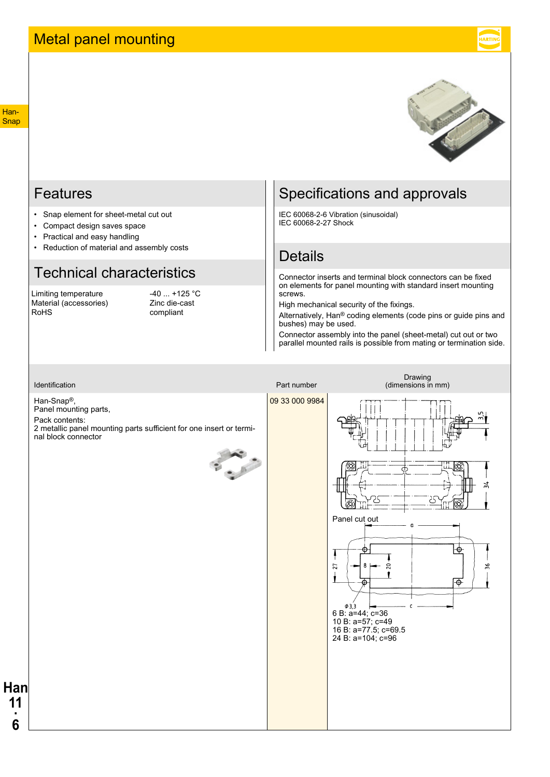

### <span id="page-5-0"></span>Features

- Snap element for sheet-metal cut out
- Compact design saves space
- Practical and easy handling
- Reduction of material and assembly costs

## Technical characteristics

Limiting temperature -40 ... +125 °C<br>
Material (accessories) - Zinc die-cast Material (accessories) RoHS compliant

## Specifications and approvals

IEC 60068-2-6 Vibration (sinusoidal) IEC 60068-2-27 Shock

### Details

Connector inserts and terminal block connectors can be fixed on elements for panel mounting with standard insert mounting screws.

High mechanical security of the fixings.

Alternatively, Han® coding elements (code pins or guide pins and bushes) may be used.

Connector assembly into the panel (sheet-metal) cut out or two parallel mounted rails is possible from mating or termination side.

Han-Snap®, Panel mounting parts,

Pack contents: 2 metallic panel mounting parts sufficient for one insert or terminal block connector





**Han 11 ·**

**6**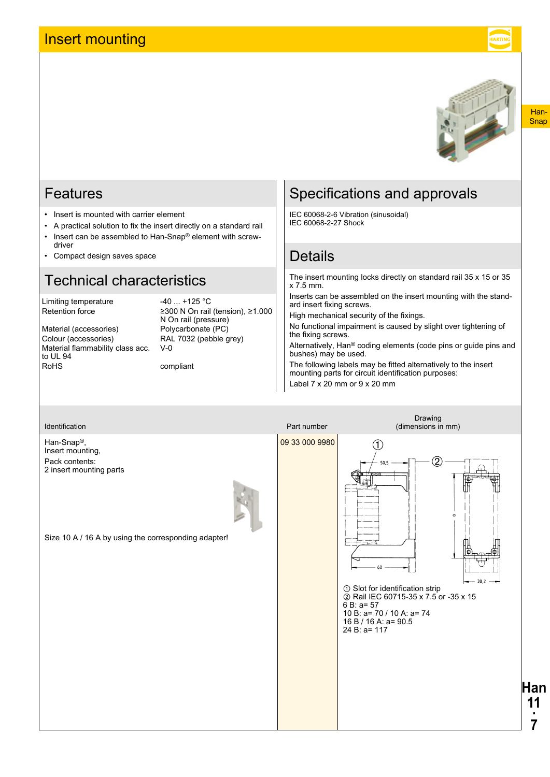## <span id="page-6-0"></span>Insert mounting



#### Han-**Snap**

### Features

- Insert is mounted with carrier element
- A practical solution to fix the insert directly on a standard rail • Insert can be assembled to Han-Snap® element with screw-
- driver
- Compact design saves space

## Technical characteristics

Limiting temperature -40 ... +125 °C<br>Retention force 2300 N On rail

to UL 94<br>RoHS

≥300 N On rail (tension), ≥1.000 N On rail (pressure) Material (accessories) Polycarbonate (PC) Colour (accessories) RAL 7032 (pebble grey) Material flammability class acc.  $V-0$ 

compliant

## Specifications and approvals

IEC 60068-2-6 Vibration (sinusoidal) IEC 60068-2-27 Shock

## **Details**

The insert mounting locks directly on standard rail 35 x 15 or 35 x 7.5 mm.

Inserts can be assembled on the insert mounting with the standard insert fixing screws.

High mechanical security of the fixings.

No functional impairment is caused by slight over tightening of the fixing screws.

Alternatively, Han® coding elements (code pins or guide pins and bushes) may be used.

The following labels may be fitted alternatively to the insert mounting parts for circuit identification purposes: Label 7 x 20 mm or 9 x 20 mm

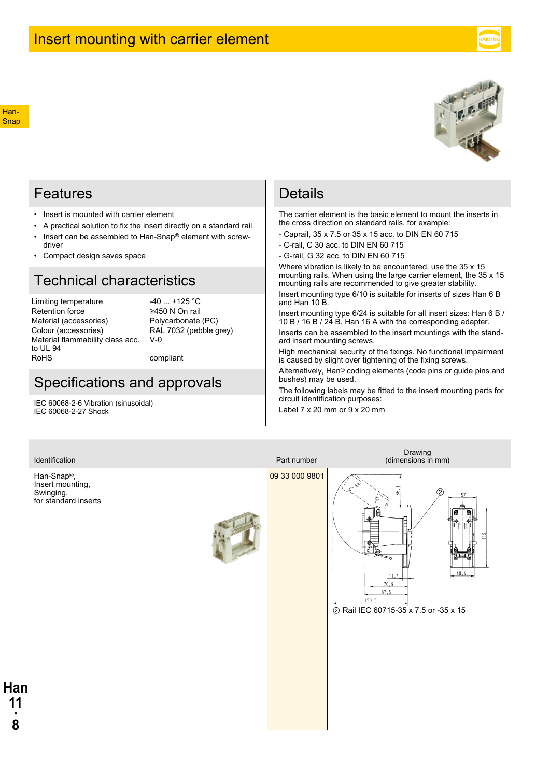

### <span id="page-7-0"></span>Features

- Insert is mounted with carrier element
- A practical solution to fix the insert directly on a standard rail • Insert can be assembled to Han-Snap® element with screwdriver
- Compact design saves space

### Technical characteristics

Limiting temperature -40 ... +125 °C<br>Retention force 2450 N On rail Retention force Material (accessories) Polycarbonate (PC) Colour (accessories) RAL 7032 (pebble grey) Material flammability class acc. to UL 94<br>RoHS

 $V-0$ 

compliant

### Specifications and approvals

IEC 60068-2-6 Vibration (sinusoidal) IEC 60068-2-27 Shock

### **Details**

The carrier element is the basic element to mount the inserts in the cross direction on standard rails, for example:

- Caprail, 35 x 7.5 or 35 x 15 acc. to DIN EN 60 715
- C-rail, C 30 acc. to DIN EN 60 715
- G-rail, G 32 acc. to DIN EN 60 715

Where vibration is likely to be encountered, use the 35 x 15 mounting rails. When using the large carrier element, the 35 x 15 mounting rails are recommended to give greater stability.

Insert mounting type 6/10 is suitable for inserts of sizes Han 6 B and Han 10 B.

Insert mounting type 6/24 is suitable for all insert sizes: Han 6 B / 10 B / 16 B / 24 B, Han 16 A with the corresponding adapter.

Inserts can be assembled to the insert mountings with the standard insert mounting screws.

High mechanical security of the fixings. No functional impairment is caused by slight over tightening of the fixing screws.

Alternatively, Han® coding elements (code pins or guide pins and bushes) may be used.

The following labels may be fitted to the insert mounting parts for circuit identification purposes:

Label 7 x 20 mm or 9 x 20 mm

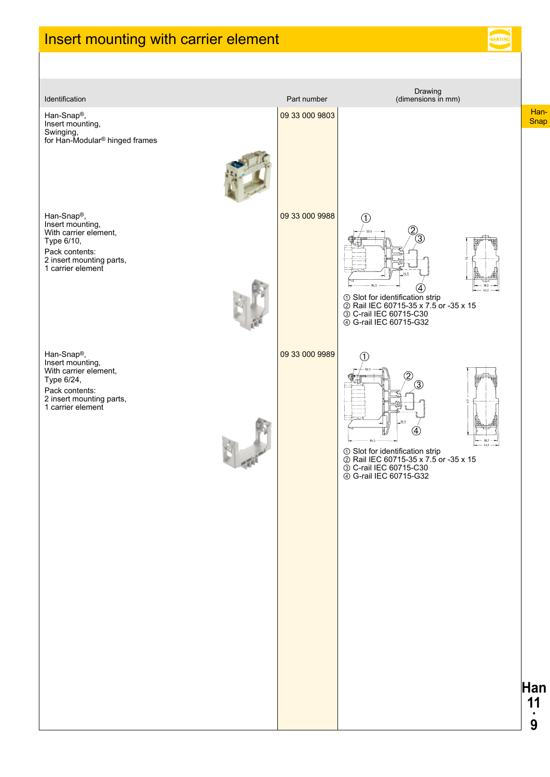## <span id="page-8-0"></span>Insert mounting with carrier element



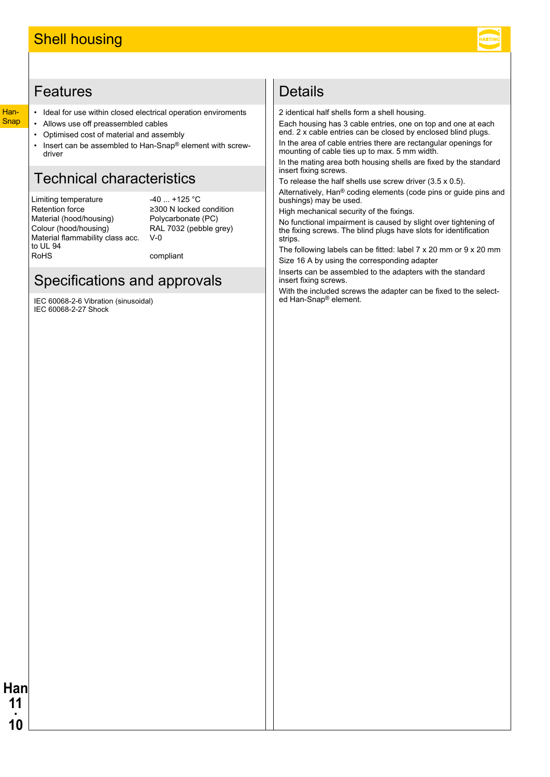## <span id="page-9-0"></span>Features

#### Han-**Snap**

**Han 11 · 10**

- Ideal for use within closed electrical operation enviroments
- Allows use off preassembled cables
- Optimised cost of material and assembly
- Insert can be assembled to Han-Snap® element with screwdriver

## Technical characteristics

Limiting temperature -40 ... +125 °C Retention force ≥300 N locked condition<br>Material (hood/housing) Polycarbonate (PC) Material (hood/housing)<br>Colour (hood/housing) Material flammability class acc. to UL 94 RoHS compliant

RAL 7032 (pebble grey) V-0

## Specifications and approvals

IEC 60068-2-6 Vibration (sinusoidal) IEC 60068-2-27 Shock

### Details

2 identical half shells form a shell housing.

Each housing has 3 cable entries, one on top and one at each end. 2 x cable entries can be closed by enclosed blind plugs. In the area of cable entries there are rectangular openings for mounting of cable ties up to max. 5 mm width.

In the mating area both housing shells are fixed by the standard insert fixing screws.

To release the half shells use screw driver (3.5 x 0.5).

Alternatively, Han® coding elements (code pins or guide pins and bushings) may be used.

High mechanical security of the fixings.

No functional impairment is caused by slight over tightening of the fixing screws. The blind plugs have slots for identification strips.

The following labels can be fitted: label 7 x 20 mm or 9 x 20 mm Size 16 A by using the corresponding adapter

Inserts can be assembled to the adapters with the standard insert fixing screws.

With the included screws the adapter can be fixed to the selected Han-Snap® element.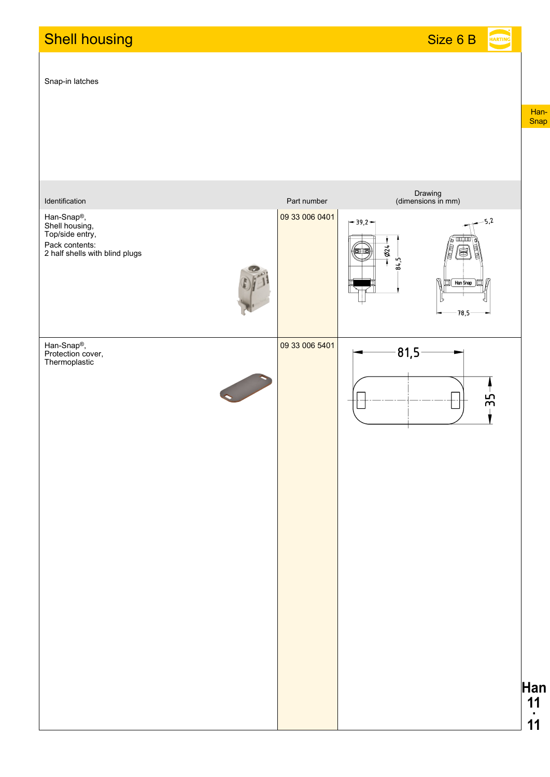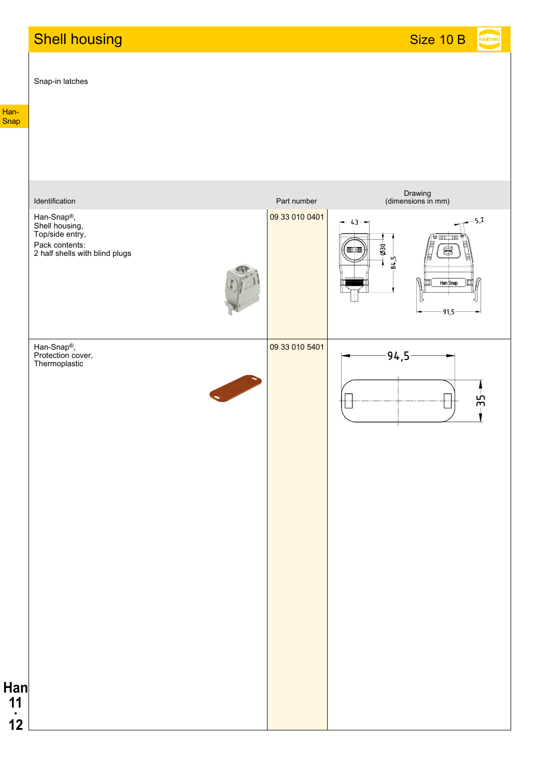# **Shell housing Shell for the Size 10 B**

Snap-in latches

HARTING

Han-Snap

| Identification                                                                                                   | Part number    | Drawing<br>(dimensions in mm)                                                                            |
|------------------------------------------------------------------------------------------------------------------|----------------|----------------------------------------------------------------------------------------------------------|
| Han-Snap <sup>®</sup> ,<br>Shell housing,<br>Top/side entry,<br>Pack contents:<br>2 half shells with blind plugs | 09 33 010 0401 | $-5,2$<br>$-43 -$<br>'e mr i mn<br>$-650$<br>o) lo<br>⊜<br>$84,5-$<br>T<br>N<br>Han Snap<br>囬<br>$-91,5$ |
| Han-Snap®,<br>Protection cover,<br>Thermoplastic                                                                 | 09 33 010 5401 | $94,5 -$<br>55                                                                                           |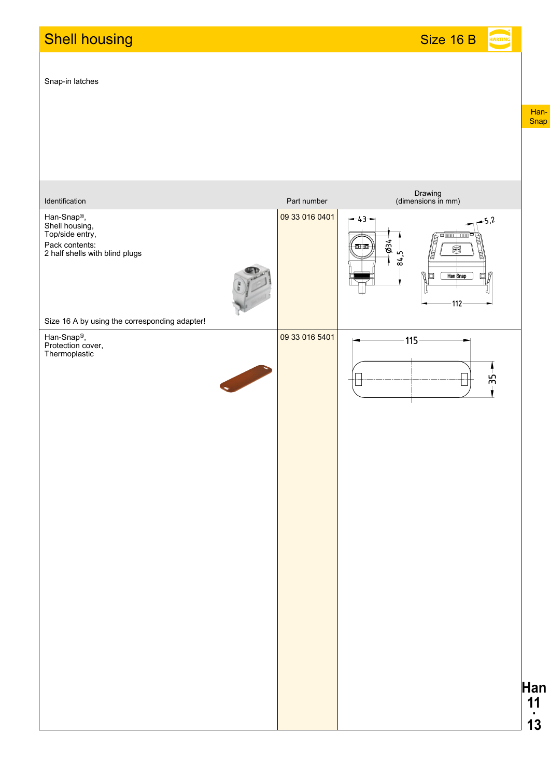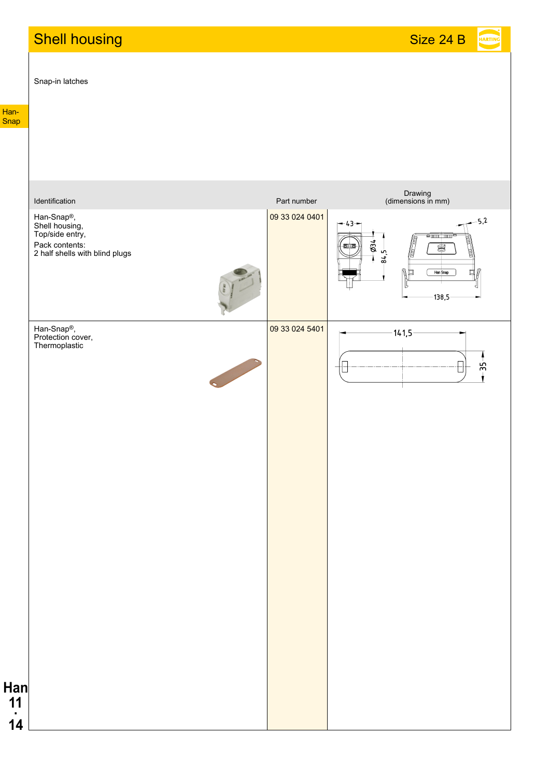# Shell housing Shell and Size 24 B and Size 24 B and Size 24 B and Size 24 B and Size 24 B and Size 24 B and Si

Snap-in latches

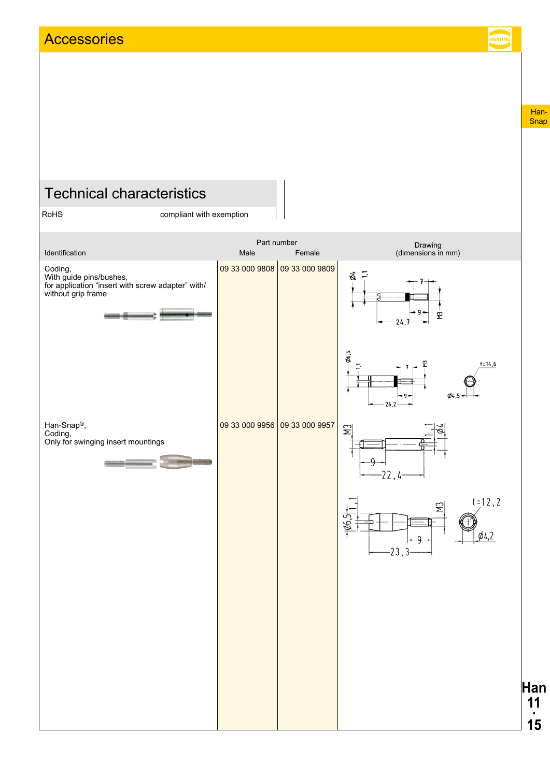<span id="page-14-0"></span>